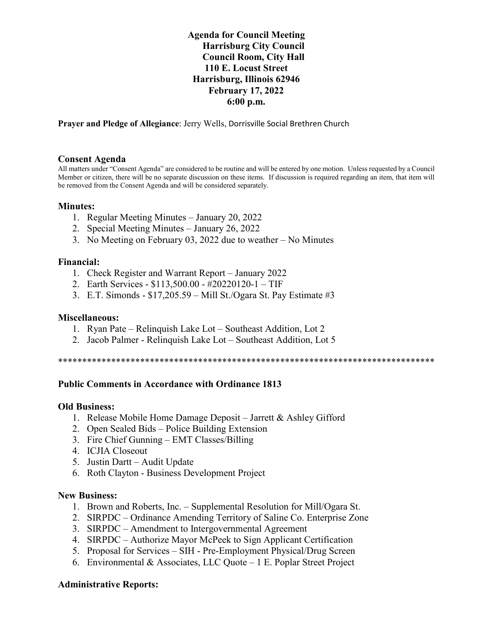## **Agenda for Council Meeting Harrisburg City Council Council Room, City Hall 110 E. Locust Street Harrisburg, Illinois 62946 February 17, 2022 6:00 p.m.**

**Prayer and Pledge of Allegiance**: Jerry Wells, Dorrisville Social Brethren Church

...................

#### **Consent Agenda**

All matters under "Consent Agenda" are considered to be routine and will be entered by one motion. Unless requested by a Council Member or citizen, there will be no separate discussion on these items. If discussion is required regarding an item, that item will be removed from the Consent Agenda and will be considered separately.

## **Minutes:**

- 1. Regular Meeting Minutes January 20, 2022
- 2. Special Meeting Minutes January 26, 2022
- 3. No Meeting on February 03, 2022 due to weather No Minutes

#### **Financial:**

- 1. Check Register and Warrant Report January 2022
- 2. Earth Services \$113,500.00 #20220120-1 TIF
- 3. E.T. Simonds \$17,205.59 Mill St./Ogara St. Pay Estimate #3

#### **Miscellaneous:**

- 1. Ryan Pate Relinquish Lake Lot Southeast Addition, Lot 2
- 2. Jacob Palmer Relinquish Lake Lot Southeast Addition, Lot 5

\*\*\*\*\*\*\*\*\*\*\*\*\*\*\*\*\*\*\*\*\*\*\*\*\*\*\*\*\*\*\*\*\*\*\*\*\*\*\*\*\*\*\*\*\*\*\*\*\*\*\*\*\*\*\*\*\*\*\*\*\*\*\*\*\*\*\*\*\*\*\*\*\*\*\*\*\*\*

## **Public Comments in Accordance with Ordinance 1813**

#### **Old Business:**

- 1. Release Mobile Home Damage Deposit Jarrett & Ashley Gifford
- 2. Open Sealed Bids Police Building Extension
- 3. Fire Chief Gunning EMT Classes/Billing
- 4. ICJIA Closeout
- 5. Justin Dartt Audit Update
- 6. Roth Clayton Business Development Project

#### **New Business:**

- 1. Brown and Roberts, Inc. Supplemental Resolution for Mill/Ogara St.
- 2. SIRPDC Ordinance Amending Territory of Saline Co. Enterprise Zone
- 3. SIRPDC Amendment to Intergovernmental Agreement
- 4. SIRPDC Authorize Mayor McPeek to Sign Applicant Certification
- 5. Proposal for Services SIH Pre-Employment Physical/Drug Screen
- 6. Environmental & Associates, LLC Quote 1 E. Poplar Street Project

#### **Administrative Reports:**